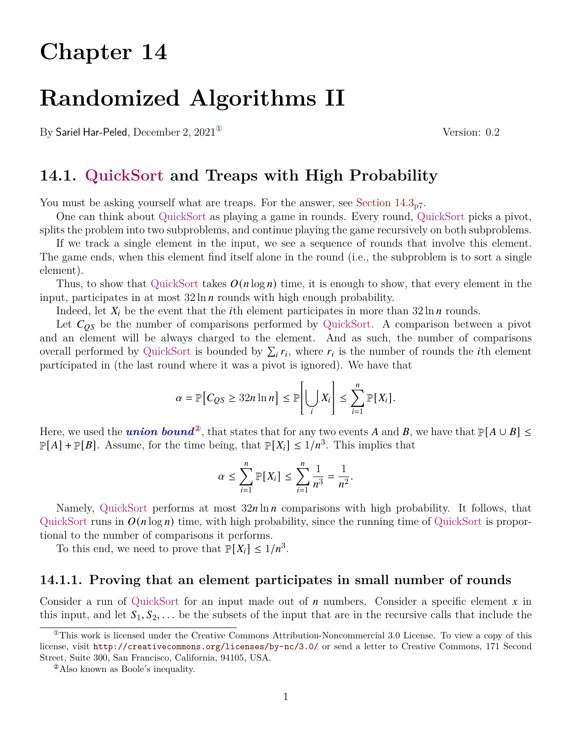## **Chapter 14**

# **Randomized Algorithms II**

By Sariel Har-Peled, December 2, 2021<sup>®</sup> Version: 0.2

## **14.1. QuickSort and Treaps with High Probability**

You must be asking yourself what are treaps. For the answer, see Section  $14.3<sub>p7</sub>$  $14.3<sub>p7</sub>$  $14.3<sub>p7</sub>$ .

One can think about QuickSort as playing a game in rounds. Every round, QuickSort picks a pivot, splits the problem into two subproblems, and continue playing the game recursively on both subproblems.

If we track a single element in the input, we see a sequence of rounds that involve this element. The game ends, when this element find itself alone in the round (i.e., the subproblem is to sort a single element).

Thus, to show that QuickSort takes  $O(n \log n)$  time, it is enough to show, that every element in the input, participates in at most  $32 \ln n$  rounds with high enough probability.

Indeed, let  $X_i$  be the event that the *i*th element participates in more than 32 ln *n* rounds.

Let  $C_{OS}$  be the number of comparisons performed by QuickSort. A comparison between a pivot and an element will be always charged to the element. And as such, the number of comparisons overall performed by QuickSort is bounded by  $\sum_i r_i$ , where  $r_i$  is the number of rounds the *i*th element participated in (the last round where it was a pivot is ignored). We have that

$$
\alpha = \mathbb{P}\big[C_{QS} \geq 32n \ln n\big] \leq \mathbb{P}\bigg[\bigcup_i X_i\bigg] \leq \sum_{i=1}^n \mathbb{P}[X_i].
$$

Here, we used the *union bound*<sup>2</sup>, that states that for any two events A and B, we have that  $\mathbb{P}[A \cup B] \le$  $\mathbb{P}[A] + \mathbb{P}[B]$ . Assume, for the time being, that  $\mathbb{P}[X_i] \leq 1/n^3$ . This implies that

$$
\alpha \le \sum_{i=1}^n \mathbb{P}[X_i] \le \sum_{i=1}^n \frac{1}{n^3} = \frac{1}{n^2}.
$$

Namely, QuickSort performs at most  $32n \ln n$  comparisons with high probability. It follows, that QuickSort runs in  $O(n \log n)$  time, with high probability, since the running time of QuickSort is proportional to the number of comparisons it performs.

To this end, we need to prove that  $\mathbb{P}[X_i] \leq 1/n^3$ .

#### **14.1.1. Proving that an element participates in small number of rounds**

Consider a run of QuickSort for an input made out of  $n$  numbers. Consider a specific element  $x$  in this input, and let  $S_1, S_2, \ldots$  be the subsets of the input that are in the recursive calls that include the

<span id="page-0-0"></span> $^{\circ}$ This work is licensed under the Creative Commons Attribution-Noncommercial 3.0 License. To view a copy of this license, visit <http://creativecommons.org/licenses/by-nc/3.0/> or send a letter to Creative Commons, 171 Second Street, Suite 300, San Francisco, California, 94105, USA.

<span id="page-0-1"></span><sup>&</sup>lt;sup>2</sup>Also known as Boole's inequality.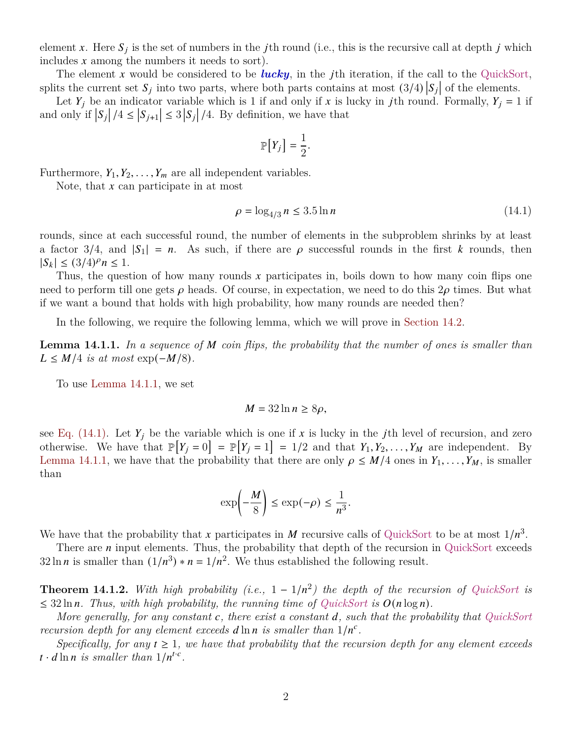element x. Here  $S_i$  is the set of numbers in the jth round (i.e., this is the recursive call at depth j which includes  $x$  among the numbers it needs to sort).

The element x would be considered to be *lucky*, in the j<sup>th</sup> iteration, if the call to the QuickSort, splits the current set  $S_j$  into two parts, where both parts contains at most  $(3/4) |S_j|$  of the elements.

Let  $Y_j$  be an indicator variable which is 1 if and only if x is lucky in jth round. Formally,  $Y_j = 1$  if and only if  $|S_j|/4 \leq |S_{j+1}| \leq 3 |S_j|/4$ . By definition, we have that

<span id="page-1-1"></span>
$$
\mathbb{P}[Y_j] = \frac{1}{2}.
$$

Furthermore,  $Y_1, Y_2, \ldots, Y_m$  are all independent variables.

Note, that  $x$  can participate in at most

$$
\rho = \log_{4/3} n \le 3.5 \ln n \tag{14.1}
$$

rounds, since at each successful round, the number of elements in the subproblem shrinks by at least a factor 3/4, and  $|S_1| = n$ . As such, if there are  $\rho$  successful rounds in the first k rounds, then  $|S_k| \leq (3/4)^p n \leq 1.$ 

Thus, the question of how many rounds  $x$  participates in, boils down to how many coin flips one need to perform till one gets  $\rho$  heads. Of course, in expectation, we need to do this  $2\rho$  times. But what if we want a bound that holds with high probability, how many rounds are needed then?

In the following, we require the following lemma, which we will prove in [Section 14.2.](#page-2-0)

<span id="page-1-0"></span>**Lemma 14.1.1.** In a sequence of M coin flips, the probability that the number of ones is smaller than  $L \leq M/4$  *is at most* exp( $-M/8$ ).

To use [Lemma 14.1.1,](#page-1-0) we set

$$
M = 32 \ln n \ge 8\rho,
$$

see [Eq. \(14.1\).](#page-1-1) Let  $Y_i$  be the variable which is one if x is lucky in the jth level of recursion, and zero otherwise. We have that  $\mathbb{P}[Y_j = 0] = \mathbb{P}[Y_j = 1] = 1/2$  and that  $Y_1, Y_2, \ldots, Y_M$  are independent. By [Lemma 14.1.1,](#page-1-0) we have that the probability that there are only  $\rho \leq M/4$  ones in  $Y_1, \ldots, Y_M$ , is smaller than

$$
\exp\Bigl(-\frac{M}{8}\Bigr)\le \exp(-\rho)\le \frac{1}{n^3}.
$$

We have that the probability that x participates in M recursive calls of QuickSort to be at most  $1/n^3$ .

There are  $n$  input elements. Thus, the probability that depth of the recursion in QuickSort exceeds 32 ln *n* is smaller than  $(1/n^3) * n = 1/n^2$ . We thus established the following result.

<span id="page-1-2"></span>**Theorem 14.1.2.** With high probability (i.e.,  $1 - 1/n^2$ ) the depth of the recursion of QuickSort is  $\leq$  32 ln *n*. Thus, with high probability, the running time of QuickSort is  $O(n \log n)$ .

*More generally, for any constant , there exist a constant , such that the probability that QuickSort recursion depth for any element exceeds*  $d \ln n$  *is smaller than*  $1/n^c$ .

*Specifically, for any*  $t \geq 1$ *, we have that probability that the recursion depth for any element exceeds*  $t \cdot d \ln n$  is smaller than  $1/n^{t.c}$ .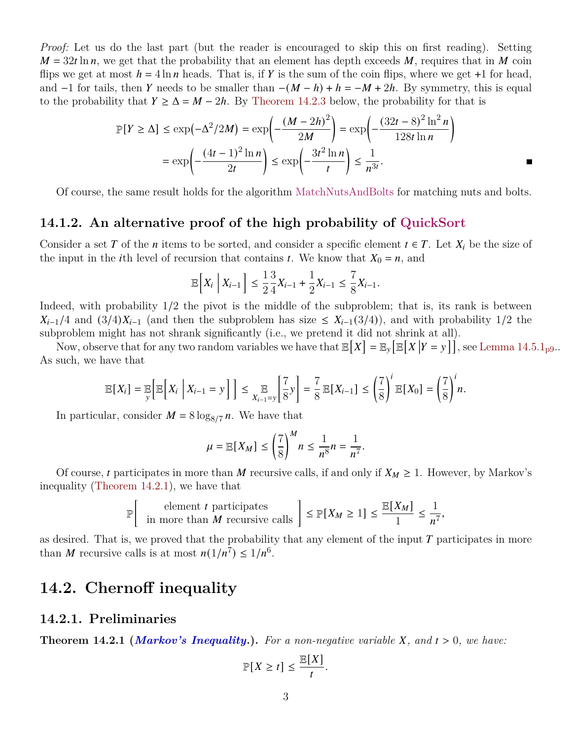*Proof:* Let us do the last part (but the reader is encouraged to skip this on first reading). Setting  $M = 32t \ln n$ , we get that the probability that an element has depth exceeds M, requires that in M coin flips we get at most  $h = 4 \ln n$  heads. That is, if Y is the sum of the coin flips, where we get +1 for head, and  $-1$  for tails, then Y needs to be smaller than  $-(M - h) + h = -M + 2h$ . By symmetry, this is equal to the probability that  $Y \ge \Delta = M - 2h$ . By [Theorem 14.2.3](#page-3-0) below, the probability for that is

$$
\mathbb{P}[Y \ge \Delta] \le \exp\left(-\Delta^2/2M\right) = \exp\left(-\frac{\left(M - 2h\right)^2}{2M}\right) = \exp\left(-\frac{\left(32t - 8\right)^2 \ln^2 n}{128t \ln n}\right)
$$

$$
= \exp\left(-\frac{\left(4t - 1\right)^2 \ln n}{2t}\right) \le \exp\left(-\frac{3t^2 \ln n}{t}\right) \le \frac{1}{n^{3t}}.
$$

Of course, the same result holds for the algorithm MatchNutsAndBolts for matching nuts and bolts.

#### **14.1.2. An alternative proof of the high probability of QuickSort**

Consider a set T of the *n* items to be sorted, and consider a specific element  $t \in T$ . Let  $X_i$  be the size of the input in the *i*th level of recursion that contains *t*. We know that  $X_0 = n$ , and

$$
\mathbb{E}\Big[X_i\;\Big|\;X_{i-1}\Big]\leq \frac{1}{2}\frac{3}{4}X_{i-1}+\frac{1}{2}X_{i-1}\leq \frac{7}{8}X_{i-1}.
$$

Indeed, with probability  $1/2$  the pivot is the middle of the subproblem; that is, its rank is between  $X_{i-1}/4$  and  $(3/4)X_{i-1}$  (and then the subproblem has size  $\leq X_{i-1}(3/4)$ ), and with probability 1/2 the subproblem might has not shrank significantly (i.e., we pretend it did not shrink at all).

Now, observe that for any two random variables we have that  $\mathbb{E}[X] = \mathbb{E}_y [\mathbb{E}[X|Y=y]]$ , see [Lemma 14.5.1](#page-8-0)<sub>[p9](#page-8-0)</sub>.. As such, we have that

$$
\mathbb{E}[X_i] = \mathop{\mathbb{E}}_{y} \Big[ \mathbb{E}\Big[X_i \; \Big| \; X_{i-1} = y \Big] \Big] \leq \mathop{\mathbb{E}}_{X_{i-1} = y} \Big[\frac{7}{8}y\Big] = \frac{7}{8} \mathop{\mathbb{E}}[X_{i-1}] \leq \left(\frac{7}{8}\right)^{i} \mathop{\mathbb{E}}[X_0] = \left(\frac{7}{8}\right)^{i} n.
$$

In particular, consider  $M = 8 \log_{8/7} n$ . We have that

$$
\mu = \mathbb{E}[X_M] \le \left(\frac{7}{8}\right)^M n \le \frac{1}{n^8}n = \frac{1}{n^7}.
$$

Of course, t participates in more than M recursive calls, if and only if  $X_M \geq 1$ . However, by Markov's inequality [\(Theorem 14.2.1\)](#page-2-1), we have that

$$
\mathbb{P}\Big[\begin{array}{c}{\rm element}\;t\;{\rm {participates}}\\ {\rm in\; more\; than}\;M{\rm\; recursive\; calls}\end{array}\Big]\leq \mathbb{P}[X_M\geq 1]\leq \frac{\mathbb{E}[X_M]}{1}\leq \frac{1}{n^7},
$$

as desired. That is, we proved that the probability that any element of the input  $T$  participates in more than M recursive calls is at most  $n(1/n^7) \leq 1/n^6$ .

## <span id="page-2-0"></span>**14.2. Chernoff inequality**

#### **14.2.1. Preliminaries**

<span id="page-2-1"></span>**Theorem 14.2.1 (***Markov's Inequality***.).** For a non-negative variable  $X$ , and  $t > 0$ , we have:

$$
\mathbb{P}[X \ge t] \le \frac{\mathbb{E}[X]}{t}.
$$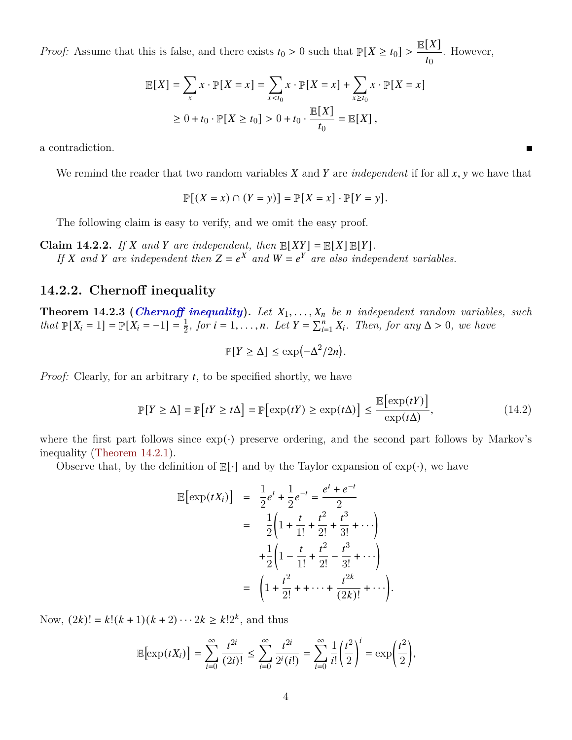*Proof:* Assume that this is false, and there exists  $t_0 > 0$  such that  $\mathbb{P}[X \ge t_0]$  $E[X]$  $\frac{1}{t_0}$ . However,

$$
\mathbb{E}[X] = \sum_{x} x \cdot \mathbb{P}[X = x] = \sum_{x < t_0} x \cdot \mathbb{P}[X = x] + \sum_{x \ge t_0} x \cdot \mathbb{P}[X = x]
$$
\n
$$
\ge 0 + t_0 \cdot \mathbb{P}[X \ge t_0] > 0 + t_0 \cdot \frac{\mathbb{E}[X]}{t_0} = \mathbb{E}[X],
$$

a contradiction.

We remind the reader that two random variables  $X$  and  $Y$  are *independent* if for all  $x, y$  we have that

<span id="page-3-1"></span> $\blacksquare$ 

$$
\mathbb{P}[(X = x) \cap (Y = y)] = \mathbb{P}[X = x] \cdot \mathbb{P}[Y = y].
$$

The following claim is easy to verify, and we omit the easy proof.

**Claim 14.2.2.** If X and Y are independent, then  $\mathbb{E}[XY] = \mathbb{E}[X] \mathbb{E}[Y]$ . If X and Y are independent then  $Z = e^X$  and  $W = e^Y$  are also independent variables.

#### **14.2.2. Chernoff inequality**

<span id="page-3-0"></span>**Theorem 14.2.3 (***Chernoff inequality*). Let  $X_1, \ldots, X_n$  be *n* independent random variables, such *that*  $\mathbb{P}[X_i = 1] = \mathbb{P}[X_i = -1] = \frac{1}{2}$  $\frac{1}{2}$ *, for*  $i = 1, \ldots, n$ *. Let*  $Y = \sum_{i=1}^{n} X_i$ *. Then, for any*  $\Delta > 0$ *, we have* 

$$
\mathbb{P}[Y \ge \Delta] \le \exp(-\Delta^2/2n).
$$

*Proof:* Clearly, for an arbitrary t, to be specified shortly, we have

$$
\mathbb{P}[Y \ge \Delta] = \mathbb{P}[tY \ge t\Delta] = \mathbb{P}[\exp(tY) \ge \exp(t\Delta)] \le \frac{\mathbb{E}[\exp(tY)]}{\exp(t\Delta)},\tag{14.2}
$$

where the first part follows since  $\exp(\cdot)$  preserve ordering, and the second part follows by Markov's inequality [\(Theorem 14.2.1\)](#page-2-1).

Observe that, by the definition of  $\mathbb{E}[\cdot]$  and by the Taylor expansion of  $\exp(\cdot)$ , we have

$$
\mathbb{E}[\exp(tX_i)] = \frac{1}{2}e^t + \frac{1}{2}e^{-t} = \frac{e^t + e^{-t}}{2}
$$
  
= 
$$
\frac{1}{2}\left(1 + \frac{t}{1!} + \frac{t^2}{2!} + \frac{t^3}{3!} + \cdots\right)
$$
  
+ 
$$
\frac{1}{2}\left(1 - \frac{t}{1!} + \frac{t^2}{2!} - \frac{t^3}{3!} + \cdots\right)
$$
  
= 
$$
\left(1 + \frac{t^2}{2!} + \cdots + \frac{t^{2k}}{(2k)!} + \cdots\right).
$$

Now,  $(2k)! = k!(k+1)(k+2)\cdots 2k \ge k!2^k$ , and thus

$$
\mathbb{E}\left[\exp(tX_i)\right] = \sum_{i=0}^{\infty} \frac{t^{2i}}{(2i)!} \le \sum_{i=0}^{\infty} \frac{t^{2i}}{2^i(i!)} = \sum_{i=0}^{\infty} \frac{1}{i!} \left(\frac{t^2}{2}\right)^i = \exp\left(\frac{t^2}{2}\right),
$$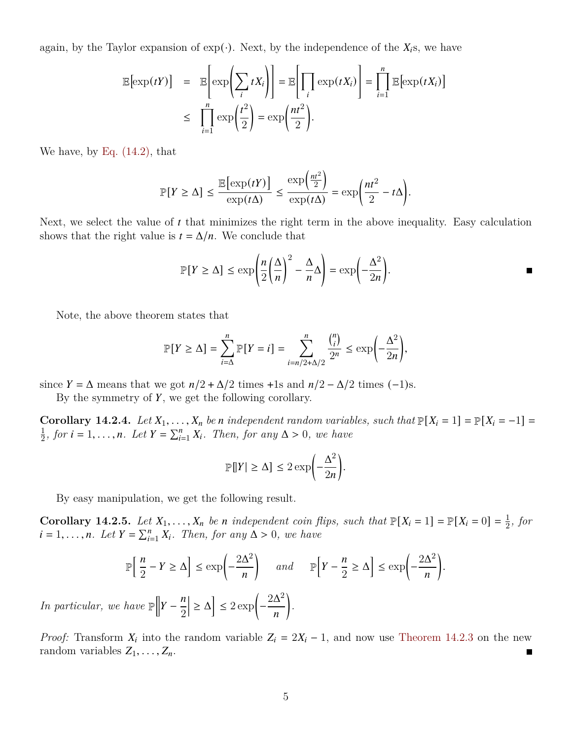again, by the Taylor expansion of  $\exp(\cdot)$ . Next, by the independence of the  $X_i$ s, we have

$$
\mathbb{E}[\exp(tY)] = \mathbb{E}\left[\exp\left(\sum_{i} tX_{i}\right)\right] = \mathbb{E}\left[\prod_{i} \exp(tX_{i})\right] = \prod_{i=1}^{n} \mathbb{E}[\exp(tX_{i})]
$$

$$
\leq \prod_{i=1}^{n} \exp\left(\frac{t^{2}}{2}\right) = \exp\left(\frac{nt^{2}}{2}\right).
$$

We have, by [Eq. \(14.2\),](#page-3-1) that

$$
\mathbb{P}[Y \ge \Delta] \le \frac{\mathbb{E}\big[\exp(tY)\big]}{\exp(t\Delta)} \le \frac{\exp\big(\frac{nt^2}{2}\big)}{\exp(t\Delta)} = \exp\bigg(\frac{nt^2}{2} - t\Delta\bigg).
$$

Next, we select the value of  $t$  that minimizes the right term in the above inequality. Easy calculation shows that the right value is  $t = \Delta/n$ . We conclude that

$$
\mathbb{P}[Y \ge \Delta] \le \exp\left(\frac{n}{2}\left(\frac{\Delta}{n}\right)^2 - \frac{\Delta}{n}\Delta\right) = \exp\left(-\frac{\Delta^2}{2n}\right).
$$

.

.

Note, the above theorem states that

$$
\mathbb{P}[Y \geq \Delta] = \sum_{i=\Delta}^{n} \mathbb{P}[Y = i] = \sum_{i=n/2+\Delta/2}^{n} \frac{\binom{n}{i}}{2^n} \leq \exp\left(-\frac{\Delta^2}{2n}\right),
$$

since  $Y = \Delta$  means that we got  $n/2 + \Delta/2$  times +1s and  $n/2 - \Delta/2$  times (-1)s.

By the symmetry of  $Y$ , we get the following corollary.

**Corollary 14.2.4.** *Let*  $X_1, \ldots, X_n$  *be n independent random variables, such that*  $\mathbb{P}[X_i = 1] = \mathbb{P}[X_i = -1] =$ 1  $\frac{1}{2}$ *, for*  $i = 1, ..., n$ *. Let*  $Y = \sum_{i=1}^{n} X_i$ *. Then, for any*  $\Delta > 0$ *, we have* 

$$
\mathbb{P}[|Y| \ge \Delta] \le 2 \exp\left(-\frac{\Delta^2}{2n}\right)
$$

By easy manipulation, we get the following result.

**Corollary 14.2.5.** Let  $X_1, \ldots, X_n$  be *n* independent coin flips, such that  $\mathbb{P}[X_i = 1] = \mathbb{P}[X_i = 0] = \frac{1}{2}$  $rac{1}{2}$ *, for*  $i = 1, \ldots, n$ . Let  $Y = \sum_{i=1}^{n} X_i$ . Then, for any  $\Delta > 0$ , we have

$$
\mathbb{P}\left[\frac{n}{2} - Y \ge \Delta\right] \le \exp\left(-\frac{2\Delta^2}{n}\right) \quad \text{and} \quad \mathbb{P}\left[Y - \frac{n}{2} \ge \Delta\right] \le \exp\left(-\frac{2\Delta^2}{n}\right)
$$

*In particular, we have*  $\mathbb{P} \Big[$  $Y-\$  $\overline{n}$ 2  $\left[\geq \Delta\right] \leq 2 \exp\left(-\frac{2\Delta^2}{n}\right)$  $\overline{n}$ Ι

*Proof:* Transform  $X_i$  into the random variable  $Z_i = 2X_i - 1$ , and now use [Theorem 14.2.3](#page-3-0) on the new random variables  $Z_1, \ldots, Z_n$ .  $\blacksquare$ 

*.*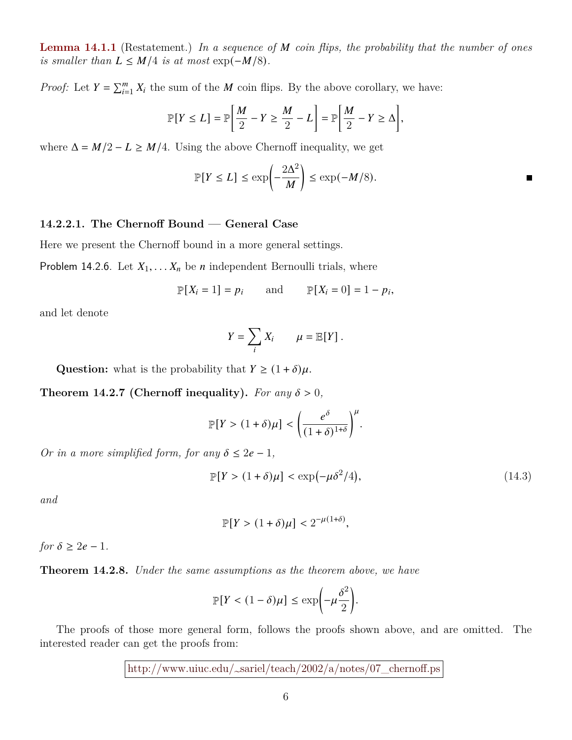**[Lemma 14.1.1](#page-1-0)** (Restatement.) In a sequence of M coin flips, the probability that the number of ones *is smaller than*  $L \leq M/4$  *is at most* exp( $-M/8$ ).

*Proof:* Let  $Y = \sum_{i=1}^{m} X_i$  the sum of the *M* coin flips. By the above corollary, we have:

$$
\mathbb{P}[Y \le L] = \mathbb{P}\left[\frac{M}{2} - Y \ge \frac{M}{2} - L\right] = \mathbb{P}\left[\frac{M}{2} - Y \ge \Delta\right],
$$

where  $\Delta = M/2 - L \ge M/4$ . Using the above Chernoff inequality, we get

$$
\mathbb{P}[Y \le L] \le \exp\left(-\frac{2\Delta^2}{M}\right) \le \exp(-M/8).
$$

#### **14.2.2.1. The Chernoff Bound — General Case**

Here we present the Chernoff bound in a more general settings.

Problem 14.2.6. Let  $X_1, \ldots, X_n$  be *n* independent Bernoulli trials, where

$$
\mathbb{P}[X_i = 1] = p_i \quad \text{and} \quad \mathbb{P}[X_i = 0] = 1 - p_i,
$$

and let denote

$$
Y = \sum_i X_i \qquad \mu = \mathbb{E}[Y].
$$

**Question:** what is the probability that  $Y \geq (1 + \delta)\mu$ .

**Theorem 14.2.7 (Chernoff inequality).** For any  $\delta > 0$ ,

$$
\mathbb{P}[Y > (1+\delta)\mu] < \left(\frac{e^{\delta}}{(1+\delta)^{1+\delta}}\right)^{\mu}.
$$

*Or in a more simplified form, for any*  $\delta \leq 2e - 1$ ,

$$
\mathbb{P}[Y > (1+\delta)\mu] < \exp(-\mu \delta^2/4),\tag{14.3}
$$

 $\blacksquare$ 

*and*

$$
\mathbb{P}[Y > (1+\delta)\mu] < 2^{-\mu(1+\delta)},
$$

*for*  $\delta \geq 2e - 1$ *.* 

**Theorem 14.2.8.** *Under the same assumptions as the theorem above, we have*

$$
\mathbb{P}[Y < (1 - \delta)\mu] \le \exp\left(-\mu \frac{\delta^2}{2}\right).
$$

<span id="page-5-0"></span>The proofs of those more general form, follows the proofs shown above, and are omitted. The interested reader can get the proofs from:

[http://www.uiuc.edu/~sariel/teach/2002/a/notes/07\\_chernoff.ps](http://www.uiuc.edu/~sariel/teach/2002/a/notes/07_chernoff.ps)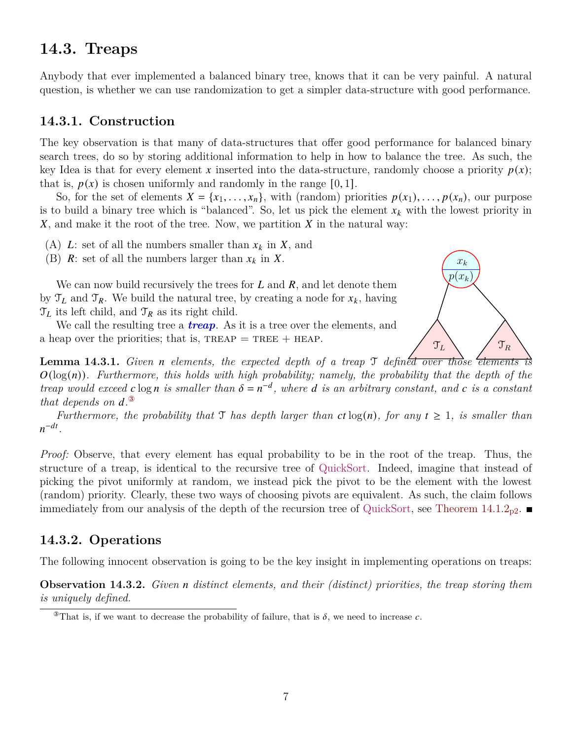## **14.3. Treaps**

Anybody that ever implemented a balanced binary tree, knows that it can be very painful. A natural question, is whether we can use randomization to get a simpler data-structure with good performance.

#### **14.3.1. Construction**

The key observation is that many of data-structures that offer good performance for balanced binary search trees, do so by storing additional information to help in how to balance the tree. As such, the key Idea is that for every element x inserted into the data-structure, randomly choose a priority  $p(x)$ ; that is,  $p(x)$  is chosen uniformly and randomly in the range [0, 1].

So, for the set of elements  $X = \{x_1, \ldots, x_n\}$ , with (random) priorities  $p(x_1), \ldots, p(x_n)$ , our purpose is to build a binary tree which is "balanced". So, let us pick the element  $x_k$  with the lowest priority in  $X$ , and make it the root of the tree. Now, we partition  $X$  in the natural way:

- (A) L: set of all the numbers smaller than  $x_k$  in X, and
- (B) R: set of all the numbers larger than  $x_k$  in X.

We can now build recursively the trees for  $L$  and  $R$ , and let denote them by  $\mathcal{T}_L$  and  $\mathcal{T}_R$ . We build the natural tree, by creating a node for  $x_k$ , having  $\mathcal{T}_L$  its left child, and  $\mathcal{T}_R$  as its right child.

We call the resulting tree a *treap*. As it is a tree over the elements, and a heap over the priorities; that is,  $TREAP = TREE + HEAD$ .

<span id="page-6-2"></span>**Lemma 14.3.1.** *Given n elements, the expected depth of a treap* T *defined over those elements*  $O(\log(n))$ . Furthermore, this holds with high probability; namely, the probability that the depth of the *treap would exceed*  $c \log n$  *is smaller than*  $\delta = n^{-d}$ *, where*  $d$  *is an arbitrary constant, and*  $c$  *is a constant that depends on*  $d^{\Omega}$ 

*Furthermore, the probability that*  $\mathcal{T}$  *has depth larger than*  $ct \log(n)$ *, for any*  $t \geq 1$ *, is smaller than*  $n^{-dt}$ .

*Proof:* Observe, that every element has equal probability to be in the root of the treap. Thus, the structure of a treap, is identical to the recursive tree of QuickSort. Indeed, imagine that instead of picking the pivot uniformly at random, we instead pick the pivot to be the element with the lowest (random) priority. Clearly, these two ways of choosing pivots are equivalent. As such, the claim follows immediately from our analysis of the depth of the recursion tree of QuickSort, see Theorem  $14.1.2_{p2}$  $14.1.2_{p2}$  $14.1.2_{p2}$ .

#### **14.3.2. Operations**

<span id="page-6-1"></span>The following innocent observation is going to be the key insight in implementing operations on treaps:

**Observation 14.3.2.** *Given n* distinct elements, and their (distinct) priorities, the treap storing them *is uniquely defined.*



<span id="page-6-0"></span><sup>&</sup>lt;sup>3</sup>That is, if we want to decrease the probability of failure, that is  $\delta$ , we need to increase c.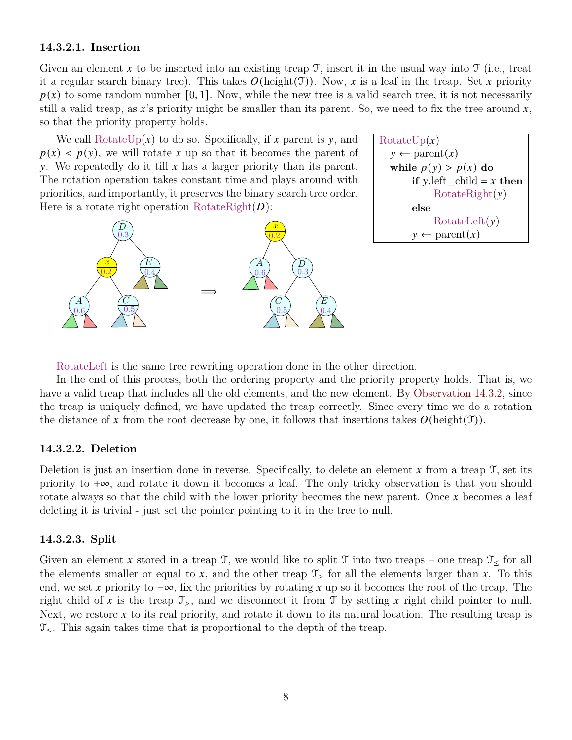#### **14.3.2.1. Insertion**

Given an element x to be inserted into an existing treap  $\mathcal{T}$ , insert it in the usual way into  $\mathcal{T}$  (i.e., treat it a regular search binary tree). This takes  $O(\text{height}(\mathcal{T}))$ . Now, x is a leaf in the treap. Set x priority  $p(x)$  to some random number [0, 1]. Now, while the new tree is a valid search tree, it is not necessarily still a valid treap, as x's priority might be smaller than its parent. So, we need to fix the tree around x, so that the priority property holds.

We call RotateUp( $x$ ) to do so. Specifically, if  $x$  parent is  $y$ , and  $p(x)$  <  $p(y)$ , we will rotate x up so that it becomes the parent of y. We repeatedly do it till  $x$  has a larger priority than its parent. The rotation operation takes constant time and plays around with priorities, and importantly, it preserves the binary search tree order. Here is a rotate right operation  $RotateRight(D)$ :



RotateUp(x)

\n
$$
y \leftarrow \text{parent}(x)
$$

\nwhile  $p(y) > p(x)$  do

\nif  $y$ .left\_cchild =  $x$  then

\nRotateRight(y)

\nelse

\nRotateLeft(y)

\n $y \leftarrow \text{parent}(x)$ 

RotateLeft is the same tree rewriting operation done in the other direction.

In the end of this process, both the ordering property and the priority property holds. That is, we have a valid treap that includes all the old elements, and the new element. By [Observation 14.3.2,](#page-6-1) since the treap is uniquely defined, we have updated the treap correctly. Since every time we do a rotation the distance of x from the root decrease by one, it follows that insertions takes  $O(\text{height}(\mathcal{T}))$ .

#### **14.3.2.2. Deletion**

Deletion is just an insertion done in reverse. Specifically, to delete an element  $x$  from a treap  $\mathcal{T}$ , set its priority to +∞, and rotate it down it becomes a leaf. The only tricky observation is that you should rotate always so that the child with the lower priority becomes the new parent. Once  $x$  becomes a leaf deleting it is trivial - just set the pointer pointing to it in the tree to null.

#### **14.3.2.3. Split**

Given an element x stored in a treap  $\mathfrak{I}$ , we would like to split  $\mathfrak{I}$  into two treaps – one treap  $\mathfrak{I}<$  for all the elements smaller or equal to x, and the other treap  $\mathcal{T}_{>}$  for all the elements larger than x. To this end, we set x priority to  $-\infty$ , fix the priorities by rotating x up so it becomes the root of the treap. The right child of x is the treap  $\mathcal{T}_{>}$ , and we disconnect it from T by setting x right child pointer to null. Next, we restore x to its real priority, and rotate it down to its natural location. The resulting treap is  $\mathcal{T}_{\leq}$ . This again takes time that is proportional to the depth of the treap.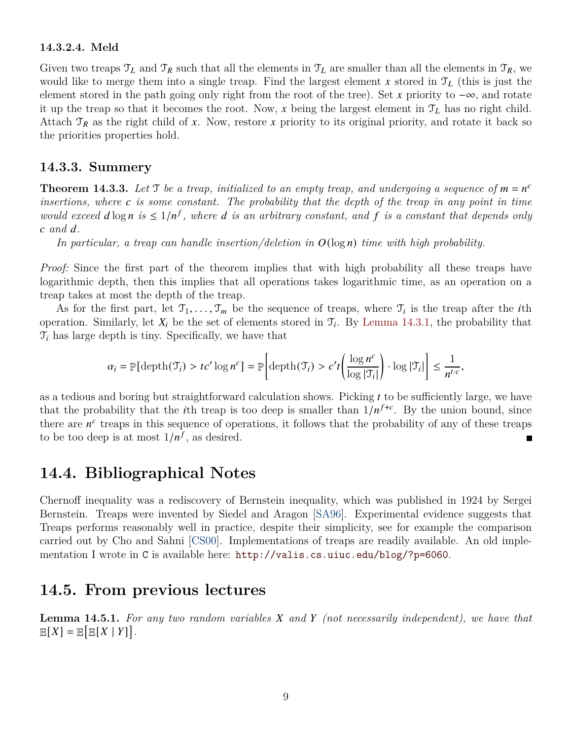#### **14.3.2.4. Meld**

Given two treaps  $\mathcal{T}_L$  and  $\mathcal{T}_R$  such that all the elements in  $\mathcal{T}_L$  are smaller than all the elements in  $\mathcal{T}_R$ , we would like to merge them into a single treap. Find the largest element x stored in  $\mathcal{T}_L$  (this is just the element stored in the path going only right from the root of the tree). Set x priority to  $-\infty$ , and rotate it up the treap so that it becomes the root. Now, x being the largest element in  $\mathcal{T}_L$  has no right child. Attach  $\mathcal{T}_R$  as the right child of x. Now, restore x priority to its original priority, and rotate it back so the priorities properties hold.

#### **14.3.3. Summery**

**Theorem 14.3.3.** Let  $\mathcal{T}$  be a treap, initialized to an empty treap, and undergoing a sequence of  $m = n^c$ *insertions, where is some constant. The probability that the depth of the treap in any point in time would exceed*  $d \log n$  is  $\leq 1/n^f$ , where  $d$  is an arbitrary constant, and  $f$  is a constant that depends only *and .*

*In particular, a treap can handle insertion/deletion in*  $O(\log n)$  *time with high probability.* 

*Proof:* Since the first part of the theorem implies that with high probability all these treaps have logarithmic depth, then this implies that all operations takes logarithmic time, as an operation on a treap takes at most the depth of the treap.

As for the first part, let  $\mathcal{T}_1, \ldots, \mathcal{T}_m$  be the sequence of treaps, where  $\mathcal{T}_i$  is the treap after the *i*th operation. Similarly, let  $X_i$  be the set of elements stored in  $\mathcal{T}_i$ . By [Lemma 14.3.1,](#page-6-2) the probability that  $\mathcal{T}_i$  has large depth is tiny. Specifically, we have that

$$
\alpha_i = \mathbb{P}[\operatorname{depth}(\mathfrak{T}_i) > tc' \log n^c] = \mathbb{P}\left[\operatorname{depth}(\mathfrak{T}_i) > c't \left(\frac{\log n^c}{\log |\mathfrak{T}_i|}\right) \cdot \log |\mathfrak{T}_i|\right] \le \frac{1}{n^{t \cdot c}},
$$

as a tedious and boring but straightforward calculation shows. Picking  $t$  to be sufficiently large, we have that the probability that the *i*th treap is too deep is smaller than  $1/n^{f+c}$ . By the union bound, since there are  $n^c$  treaps in this sequence of operations, it follows that the probability of any of these treaps to be too deep is at most  $1/n^f$ , as desired.

### **14.4. Bibliographical Notes**

Chernoff inequality was a rediscovery of Bernstein inequality, which was published in 1924 by Sergei Bernstein. Treaps were invented by Siedel and Aragon [\[SA96\]](#page-9-0). Experimental evidence suggests that Treaps performs reasonably well in practice, despite their simplicity, see for example the comparison carried out by Cho and Sahni [\[CS00\]](#page-9-1). Implementations of treaps are readily available. An old implementation I wrote in C is available here: <http://valis.cs.uiuc.edu/blog/?p=6060>.

### **14.5. From previous lectures**

<span id="page-8-0"></span>**Lemma 14.5.1.** For any two random variables X and Y (not necessarily independent), we have that  $\mathbb{E}[X] = \mathbb{E}[\mathbb{E}[X | Y]].$